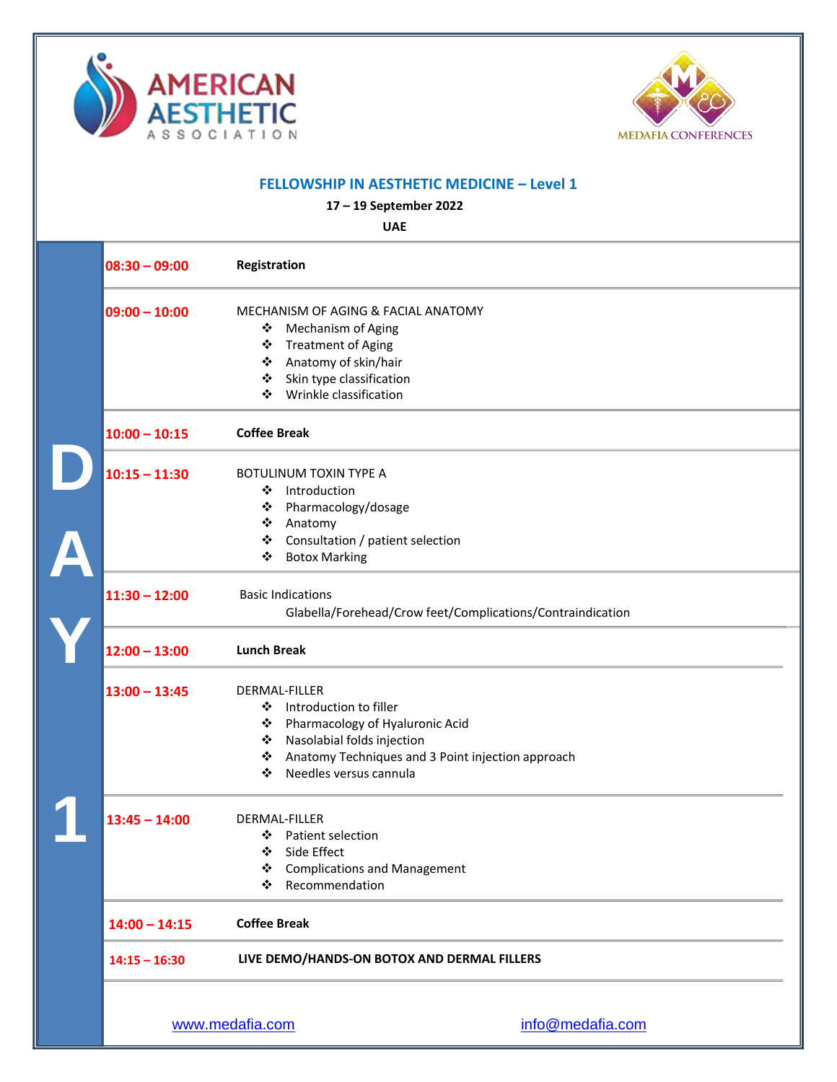



| <b>FELLOWSHIP IN AESTHETIC MEDICINE - Level 1</b><br>17 - 19 September 2022<br><b>UAE</b> |                                                            |  |
|-------------------------------------------------------------------------------------------|------------------------------------------------------------|--|
|                                                                                           |                                                            |  |
| $09:00 - 10:00$                                                                           | MECHANISM OF AGING & FACIAL ANATOMY                        |  |
|                                                                                           | <b>Mechanism of Aging</b><br>❖                             |  |
|                                                                                           | <b>Treatment of Aging</b><br>❖                             |  |
|                                                                                           | Anatomy of skin/hair<br>❖                                  |  |
|                                                                                           | Skin type classification<br>❖                              |  |
|                                                                                           | Wrinkle classification<br>❖                                |  |
| $10:00 - 10:15$                                                                           | <b>Coffee Break</b>                                        |  |
| $10:15 - 11:30$                                                                           | BOTULINUM TOXIN TYPE A                                     |  |
|                                                                                           | Introduction<br>❖                                          |  |
|                                                                                           | ❖<br>Pharmacology/dosage                                   |  |
|                                                                                           | Anatomy<br>❖                                               |  |
|                                                                                           | Consultation / patient selection<br>❖                      |  |
|                                                                                           | <b>Botox Marking</b><br>❖                                  |  |
| $11:30 - 12:00$                                                                           | <b>Basic Indications</b>                                   |  |
|                                                                                           | Glabella/Forehead/Crow feet/Complications/Contraindication |  |
| $12:00 - 13:00$                                                                           | <b>Lunch Break</b>                                         |  |
| $13:00 - 13:45$                                                                           | DERMAL-FILLER                                              |  |
|                                                                                           | Introduction to filler<br>❖                                |  |
|                                                                                           | Pharmacology of Hyaluronic Acid<br>❖                       |  |
|                                                                                           | Nasolabial folds injection<br>❖                            |  |
|                                                                                           | Anatomy Techniques and 3 Point injection approach<br>❖     |  |
|                                                                                           | ❖<br>Needles versus cannula                                |  |
| $13:45 - 14:00$                                                                           | DERMAL-FILLER                                              |  |
|                                                                                           | ❖ Patient selection                                        |  |
|                                                                                           | ❖ Side Effect                                              |  |
|                                                                                           | ❖ Complications and Management                             |  |
|                                                                                           | ❖ Recommendation                                           |  |
| $14:00 - 14:15$                                                                           | <b>Coffee Break</b>                                        |  |
| $14:15 - 16:30$                                                                           | LIVE DEMO/HANDS-ON BOTOX AND DERMAL FILLERS                |  |
|                                                                                           |                                                            |  |
|                                                                                           | www.medafia.com<br>info@medafia.com                        |  |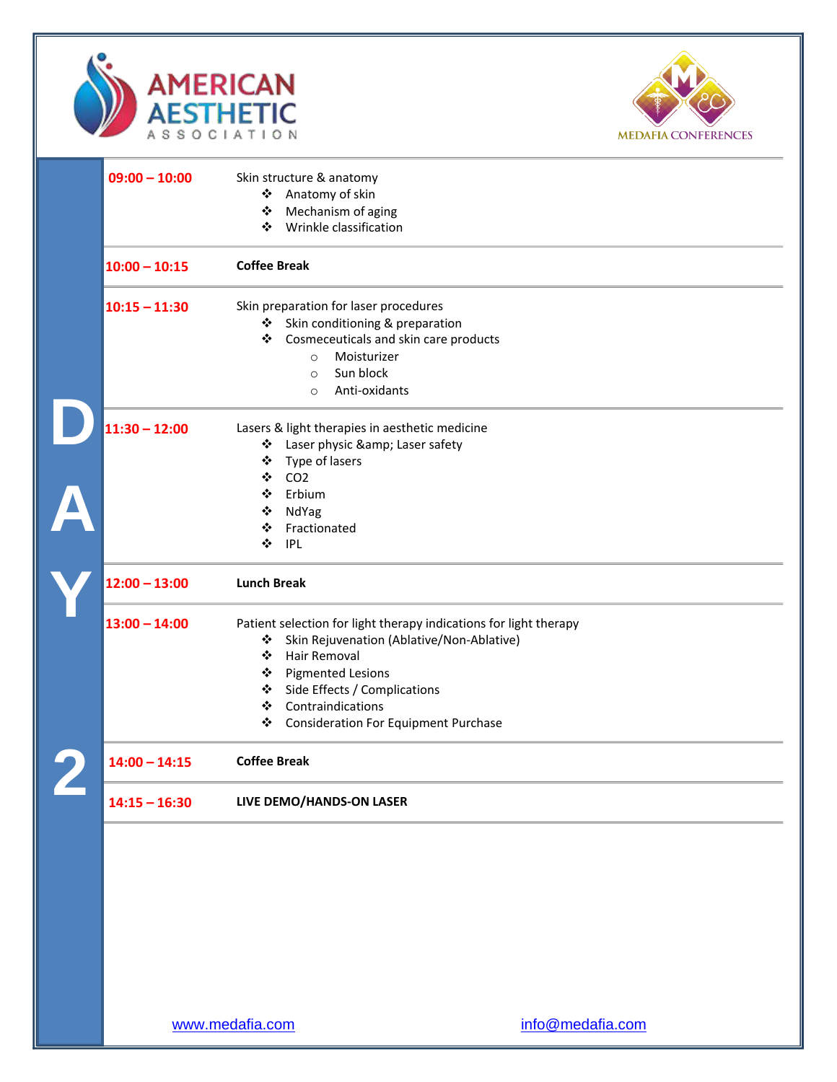



| $09:00 - 10:00$ | Skin structure & anatomy                                          |
|-----------------|-------------------------------------------------------------------|
|                 | Anatomy of skin<br>❖                                              |
|                 | Mechanism of aging<br>豪。                                          |
|                 | Wrinkle classification<br>❖                                       |
| $10:00 - 10:15$ | <b>Coffee Break</b>                                               |
| $10:15 - 11:30$ | Skin preparation for laser procedures                             |
|                 | Skin conditioning & preparation                                   |
|                 | Cosmeceuticals and skin care products<br>❖                        |
|                 | Moisturizer<br>$\circ$                                            |
|                 | Sun block<br>$\circ$                                              |
|                 | Anti-oxidants<br>$\circ$                                          |
| $11:30 - 12:00$ | Lasers & light therapies in aesthetic medicine                    |
|                 | Laser physic & Laser safety                                       |
|                 | ❖ Type of lasers                                                  |
|                 | CO <sub>2</sub><br>❖                                              |
|                 | ❖<br>Erbium                                                       |
|                 | NdYag<br>❖                                                        |
|                 | Fractionated<br>❖                                                 |
|                 | ❖<br>IPL                                                          |
| $12:00 - 13:00$ | <b>Lunch Break</b>                                                |
| $13:00 - 14:00$ | Patient selection for light therapy indications for light therapy |
|                 | Skin Rejuvenation (Ablative/Non-Ablative)<br>豪。                   |
|                 | Hair Removal<br>❖                                                 |
|                 | ❖ Pigmented Lesions                                               |
|                 | Side Effects / Complications<br>※                                 |
|                 | Contraindications<br>❖                                            |
|                 | ❖<br><b>Consideration For Equipment Purchase</b>                  |
| $14:00 - 14:15$ | <b>Coffee Break</b>                                               |
|                 | LIVE DEMO/HANDS-ON LASER                                          |